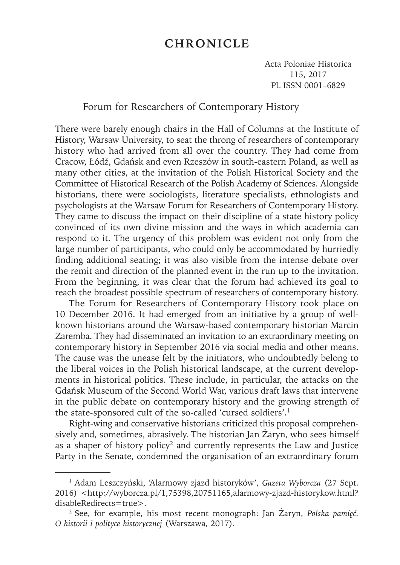## **CHRONICLE**

Acta Poloniae Historica 115, 2017 PL ISSN 0001–6829

## Forum for Researchers of Contemporary History

There were barely enough chairs in the Hall of Columns at the Institute of History, Warsaw University, to seat the throng of researchers of contemporary history who had arrived from all over the country. They had come from Cracow, Łódź, Gdańsk and even Rzeszów in south-eastern Poland, as well as many other cities, at the invitation of the Polish Historical Society and the Committee of Historical Research of the Polish Academy of Sciences. Alongside historians, there were sociologists, literature specialists, ethnologists and psychologists at the Warsaw Forum for Researchers of Contemporary History. They came to discuss the impact on their discipline of a state history policy convinced of its own divine mission and the ways in which academia can respond to it. The urgency of this problem was evident not only from the large number of participants, who could only be accommodated by hurriedly finding additional seating; it was also visible from the intense debate over the remit and direction of the planned event in the run up to the invitation. From the beginning, it was clear that the forum had achieved its goal to reach the broadest possible spectrum of researchers of contemporary history.

The Forum for Researchers of Contemporary History took place on 10 December 2016. It had emerged from an initiative by a group of wellknown historians around the Warsaw-based contemporary historian Marcin Zaremba. They had disseminated an invitation to an extraordinary meeting on contemporary history in September 2016 via social media and other means. The cause was the unease felt by the initiators, who undoubtedly belong to the liberal voices in the Polish historical landscape, at the current developments in historical politics. These include, in particular, the attacks on the Gdańsk Museum of the Second World War, various draft laws that intervene in the public debate on contemporary history and the growing strength of the state-sponsored cult of the so-called 'cursed soldiers'.<sup>1</sup>

Right-wing and conservative historians criticized this proposal comprehensively and, sometimes, abrasively. The historian Jan Żaryn, who sees himself as a shaper of history policy2 and currently represents the Law and Justice Party in the Senate, condemned the organisation of an extraordinary forum

<sup>1</sup> Adam Leszczyński, 'Alarmowy zjazd historyków', *Gazeta Wyborcza* (27 Sept. 2016) <http://wyborcza.pl/1,75398,20751165,alarmowy-zjazd-historykow.html? disableRedirects=true>.

<sup>2</sup> See, for example, his most recent monograph: Jan Żaryn, *Polska pamięć. O historii i polityce historycznej* (Warszawa, 2017).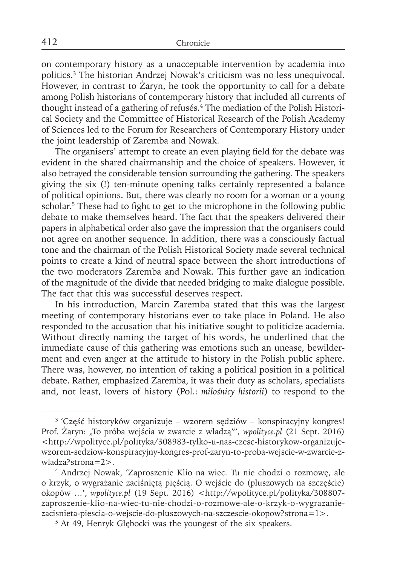on contemporary history as a unacceptable intervention by academia into politics.3 The historian Andrzej Nowak's criticism was no less unequivocal. However, in contrast to Żaryn, he took the opportunity to call for a debate among Polish historians of contemporary history that included all currents of thought instead of a gathering of refusés.4 The mediation of the Polish Historical Society and the Committee of Historical Research of the Polish Academy of Sciences led to the Forum for Researchers of Contemporary History under the joint leadership of Zaremba and Nowak.

The organisers' attempt to create an even playing field for the debate was evident in the shared chairmanship and the choice of speakers. However, it also betrayed the considerable tension surrounding the gathering. The speakers giving the six (!) ten-minute opening talks certainly represented a balance of political opinions. But, there was clearly no room for a woman or a young scholar.<sup>5</sup> These had to fight to get to the microphone in the following public debate to make themselves heard. The fact that the speakers delivered their papers in alphabetical order also gave the impression that the organisers could not agree on another sequence. In addition, there was a consciously factual tone and the chairman of the Polish Historical Society made several technical points to create a kind of neutral space between the short introductions of the two moderators Zaremba and Nowak. This further gave an indication of the magnitude of the divide that needed bridging to make dialogue possible. The fact that this was successful deserves respect.

In his introduction, Marcin Zaremba stated that this was the largest meeting of contemporary historians ever to take place in Poland. He also responded to the accusation that his initiative sought to politicize academia. Without directly naming the target of his words, he underlined that the immediate cause of this gathering was emotions such an unease, bewilderment and even anger at the attitude to history in the Polish public sphere. There was, however, no intention of taking a political position in a political debate. Rather, emphasized Zaremba, it was their duty as scholars, specialists and, not least, lovers of history (Pol.: *miłośnicy historii*) to respond to the

412

<sup>3 &#</sup>x27;Część historyków organizuje – wzorem sędziów – konspiracyjny kongres! Prof. Żaryn: "To próba wejścia w zwarcie z władzą"<sup>,</sup> wpolityce.pl (21 Sept. 2016) <http://wpolityce.pl/polityka/308983-tylko-u-nas-czesc-historykow-organizujewzorem-sedziow-konspiracyjny-kongres-prof-zaryn-to-proba-wejscie-w-zwarcie-zwladza?strona=2>.

<sup>4</sup> Andrzej Nowak, 'Zaproszenie Klio na wiec. Tu nie chodzi o rozmowę, ale o krzyk, o wygrażanie zaciśniętą pięścią. O wejście do (pluszowych na szczęście) okopów …', *wpolityce.pl* (19 Sept. 2016) <http://wpolityce.pl/polityka/308807 zaproszenie-klio-na-wiec-tu-nie-chodzi-o-rozmowe-ale-o-krzyk-o-wygrazaniezacisnieta-piescia-o-wejscie-do-pluszowych-na-szczescie-okopow?strona=1>.

<sup>5</sup> At 49, Henryk Głębocki was the youngest of the six speakers.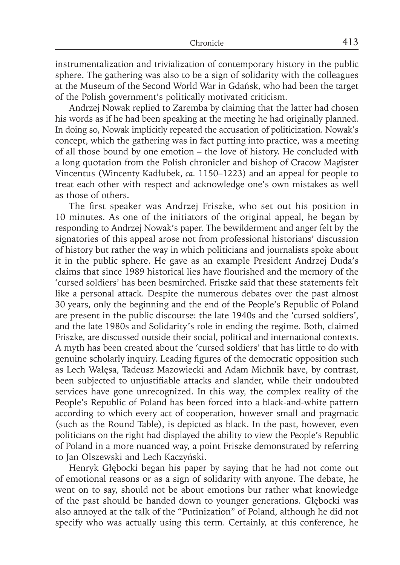instrumentalization and trivialization of contemporary history in the public sphere. The gathering was also to be a sign of solidarity with the colleagues at the Museum of the Second World War in Gdańsk, who had been the target of the Polish government's politically motivated criticism.

Andrzej Nowak replied to Zaremba by claiming that the latter had chosen his words as if he had been speaking at the meeting he had originally planned. In doing so, Nowak implicitly repeated the accusation of politicization. Nowak's concept, which the gathering was in fact putting into practice, was a meeting of all those bound by one emotion – the love of history. He concluded with a long quotation from the Polish chronicler and bishop of Cracow Magister Vincentus (Wincenty Kadłubek, *ca.* 1150–1223) and an appeal for people to treat each other with respect and acknowledge one's own mistakes as well as those of others.

The first speaker was Andrzej Friszke, who set out his position in 10 minutes. As one of the initiators of the original appeal, he began by responding to Andrzej Nowak's paper. The bewilderment and anger felt by the signatories of this appeal arose not from professional historians' discussion of history but rather the way in which politicians and journalists spoke about it in the public sphere. He gave as an example President Andrzej Duda's claims that since 1989 historical lies have flourished and the memory of the 'cursed soldiers' has been besmirched. Friszke said that these statements felt like a personal attack. Despite the numerous debates over the past almost 30 years, only the beginning and the end of the People's Republic of Poland are present in the public discourse: the late 1940s and the 'cursed soldiers', and the late 1980s and Solidarity's role in ending the regime. Both, claimed Friszke, are discussed outside their social, political and international contexts. A myth has been created about the 'cursed soldiers' that has little to do with genuine scholarly inquiry. Leading figures of the democratic opposition such as Lech Wałęsa, Tadeusz Mazowiecki and Adam Michnik have, by contrast, been subjected to unjustifiable attacks and slander, while their undoubted services have gone unrecognized. In this way, the complex reality of the People's Republic of Poland has been forced into a black-and-white pattern according to which every act of cooperation, however small and pragmatic (such as the Round Table), is depicted as black. In the past, however, even politicians on the right had displayed the ability to view the People's Republic of Poland in a more nuanced way, a point Friszke demonstrated by referring to Jan Olszewski and Lech Kaczyński.

Henryk Głębocki began his paper by saying that he had not come out of emotional reasons or as a sign of solidarity with anyone. The debate, he went on to say, should not be about emotions bur rather what knowledge of the past should be handed down to younger generations. Głębocki was also annoyed at the talk of the "Putinization" of Poland, although he did not specify who was actually using this term. Certainly, at this conference, he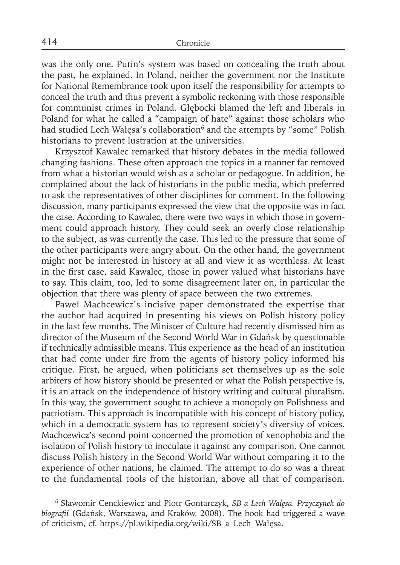was the only one. Putin's system was based on concealing the truth about the past, he explained. In Poland, neither the government nor the Institute for National Remembrance took upon itself the responsibility for attempts to conceal the truth and thus prevent a symbolic reckoning with those responsible for communist crimes in Poland. Głębocki blamed the left and liberals in Poland for what he called a "campaign of hate" against those scholars who had studied Lech Wałęsa's collaboration<sup>6</sup> and the attempts by "some" Polish historians to prevent lustration at the universities.

Krzysztof Kawalec remarked that history debates in the media followed changing fashions. These often approach the topics in a manner far removed from what a historian would wish as a scholar or pedagogue. In addition, he complained about the lack of historians in the public media, which preferred to ask the representatives of other disciplines for comment. In the following discussion, many participants expressed the view that the opposite was in fact the case. According to Kawalec, there were two ways in which those in government could approach history. They could seek an overly close relationship to the subject, as was currently the case. This led to the pressure that some of the other participants were angry about. On the other hand, the government might not be interested in history at all and view it as worthless. At least in the first case, said Kawalec, those in power valued what historians have to say. This claim, too, led to some disagreement later on, in particular the objection that there was plenty of space between the two extremes.

Paweł Machcewicz's incisive paper demonstrated the expertise that the author had acquired in presenting his views on Polish history policy in the last few months. The Minister of Culture had recently dismissed him as director of the Museum of the Second World War in Gdańsk by questionable if technically admissible means. This experience as the head of an institution that had come under fire from the agents of history policy informed his critique. First, he argued, when politicians set themselves up as the sole arbiters of how history should be presented or what the Polish perspective is, it is an attack on the independence of history writing and cultural pluralism. In this way, the government sought to achieve a monopoly on Polishness and patriotism. This approach is incompatible with his concept of history policy, which in a democratic system has to represent society's diversity of voices. Machcewicz's second point concerned the promotion of xenophobia and the isolation of Polish history to inoculate it against any comparison. One cannot discuss Polish history in the Second World War without comparing it to the experience of other nations, he claimed. The attempt to do so was a threat to the fundamental tools of the historian, above all that of comparison.

414

<sup>6</sup> Sławomir Cenckiewicz and Piotr Gontarczyk, *SB a Lech Wałęsa. Przyczynek do biografi i* (Gdańsk, Warszawa, and Kraków, 2008). The book had triggered a wave of criticism, cf. https://pl.wikipedia.org/wiki/SB\_a\_Lech\_Wałęsa.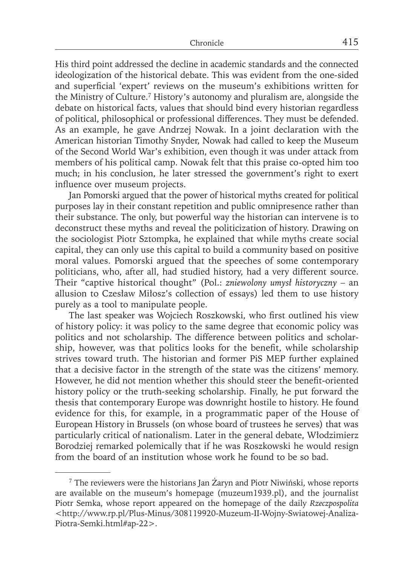His third point addressed the decline in academic standards and the connected ideologization of the historical debate. This was evident from the one-sided and superficial 'expert' reviews on the museum's exhibitions written for the Ministry of Culture.7 History's autonomy and pluralism are, alongside the debate on historical facts, values that should bind every historian regardless of political, philosophical or professional differences. They must be defended. As an example, he gave Andrzej Nowak. In a joint declaration with the American historian Timothy Snyder, Nowak had called to keep the Museum of the Second World War's exhibition, even though it was under attack from members of his political camp. Nowak felt that this praise co-opted him too much; in his conclusion, he later stressed the government's right to exert influence over museum projects.

Jan Pomorski argued that the power of historical myths created for political purposes lay in their constant repetition and public omnipresence rather than their substance. The only, but powerful way the historian can intervene is to deconstruct these myths and reveal the politicization of history. Drawing on the sociologist Piotr Sztompka, he explained that while myths create social capital, they can only use this capital to build a community based on positive moral values. Pomorski argued that the speeches of some contemporary politicians, who, after all, had studied history, had a very different source. Their "captive historical thought" (Pol.: *zniewolony umysł historyczny* – an allusion to Czesław Miłosz's collection of essays) led them to use history purely as a tool to manipulate people.

The last speaker was Wojciech Roszkowski, who first outlined his view of history policy: it was policy to the same degree that economic policy was politics and not scholarship. The difference between politics and scholarship, however, was that politics looks for the benefit, while scholarship strives toward truth. The historian and former PiS MEP further explained that a decisive factor in the strength of the state was the citizens' memory. However, he did not mention whether this should steer the benefit-oriented history policy or the truth-seeking scholarship. Finally, he put forward the thesis that contemporary Europe was downright hostile to history. He found evidence for this, for example, in a programmatic paper of the House of European History in Brussels (on whose board of trustees he serves) that was particularly critical of nationalism. Later in the general debate, Włodzimierz Borodziej remarked polemically that if he was Roszkowski he would resign from the board of an institution whose work he found to be so bad.

<sup>7</sup> The reviewers were the historians Jan Żaryn and Piotr Niwiński, whose reports are available on the museum's homepage (muzeum1939.pl), and the journalist Piotr Semka, whose report appeared on the homepage of the daily *Rzeczpospolita* <http://www.rp.pl/Plus-Minus/308119920-Muzeum-II-Wojny-Swiatowej-Analiza-Piotra-Semki.html#ap-22>.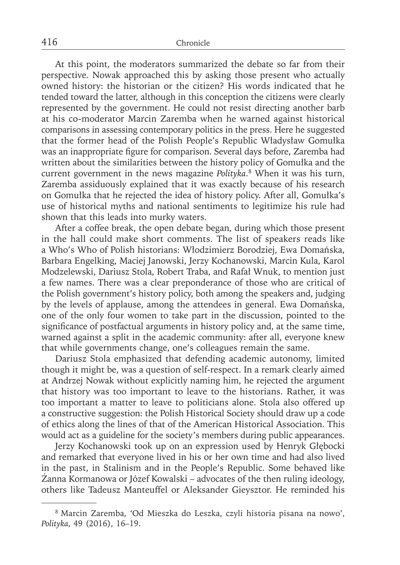At this point, the moderators summarized the debate so far from their perspective. Nowak approached this by asking those present who actually owned history: the historian or the citizen? His words indicated that he tended toward the latter, although in this conception the citizens were clearly represented by the government. He could not resist directing another barb at his co-moderator Marcin Zaremba when he warned against historical comparisons in assessing contemporary politics in the press. Here he suggested that the former head of the Polish People's Republic Władysław Gomułka was an inappropriate figure for comparison. Several days before, Zaremba had written about the similarities between the history policy of Gomułka and the current government in the news magazine *Polityka*.<sup>8</sup> When it was his turn, Zaremba assiduously explained that it was exactly because of his research on Gomułka that he rejected the idea of history policy. After all, Gomułka's use of historical myths and national sentiments to legitimize his rule had shown that this leads into murky waters.

After a coffee break, the open debate began, during which those present in the hall could make short comments. The list of speakers reads like a Who's Who of Polish historians: Włodzimierz Borodziej, Ewa Domańska, Barbara Engelking, Maciej Janowski, Jerzy Kochanowski, Marcin Kula, Karol Modzelewski, Dariusz Stola, Robert Traba, and Rafał Wnuk, to mention just a few names. There was a clear preponderance of those who are critical of the Polish government's history policy, both among the speakers and, judging by the levels of applause, among the attendees in general. Ewa Domańska, one of the only four women to take part in the discussion, pointed to the significance of postfactual arguments in history policy and, at the same time, warned against a split in the academic community: after all, everyone knew that while governments change, one's colleagues remain the same.

Dariusz Stola emphasized that defending academic autonomy, limited though it might be, was a question of self-respect. In a remark clearly aimed at Andrzej Nowak without explicitly naming him, he rejected the argument that history was too important to leave to the historians. Rather, it was too important a matter to leave to politicians alone. Stola also offered up a constructive suggestion: the Polish Historical Society should draw up a code of ethics along the lines of that of the American Historical Association. This would act as a guideline for the society's members during public appearances.

Jerzy Kochanowski took up on an expression used by Henryk Głębocki and remarked that everyone lived in his or her own time and had also lived in the past, in Stalinism and in the People's Republic. Some behaved like Żanna Kormanowa or Józef Kowalski – advocates of the then ruling ideology, others like Tadeusz Manteuffel or Aleksander Gieysztor. He reminded his

<sup>8</sup> Marcin Zaremba, 'Od Mieszka do Leszka, czyli historia pisana na nowo', *Polityka*, 49 (2016), 16–19.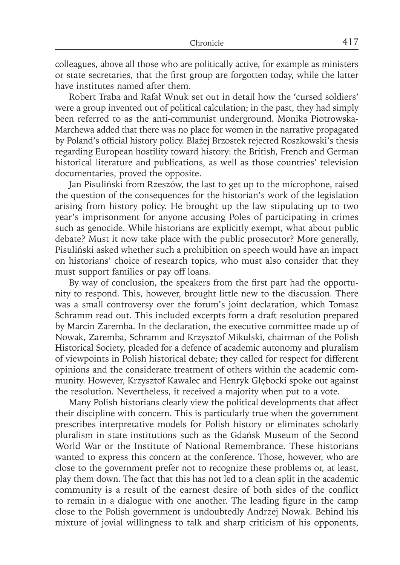colleagues, above all those who are politically active, for example as ministers or state secretaries, that the first group are forgotten today, while the latter have institutes named after them.

Robert Traba and Rafał Wnuk set out in detail how the 'cursed soldiers' were a group invented out of political calculation; in the past, they had simply been referred to as the anti-communist underground. Monika Piotrowska-Marchewa added that there was no place for women in the narrative propagated by Poland's official history policy. Błażej Brzostek rejected Roszkowski's thesis regarding European hostility toward history: the British, French and German historical literature and publications, as well as those countries' television documentaries, proved the opposite.

Jan Pisuliński from Rzeszów, the last to get up to the microphone, raised the question of the consequences for the historian's work of the legislation arising from history policy. He brought up the law stipulating up to two year's imprisonment for anyone accusing Poles of participating in crimes such as genocide. While historians are explicitly exempt, what about public debate? Must it now take place with the public prosecutor? More generally, Pisuliński asked whether such a prohibition on speech would have an impact on historians' choice of research topics, who must also consider that they must support families or pay off loans.

By way of conclusion, the speakers from the first part had the opportunity to respond. This, however, brought little new to the discussion. There was a small controversy over the forum's joint declaration, which Tomasz Schramm read out. This included excerpts form a draft resolution prepared by Marcin Zaremba. In the declaration, the executive committee made up of Nowak, Zaremba, Schramm and Krzysztof Mikulski, chairman of the Polish Historical Society, pleaded for a defence of academic autonomy and pluralism of viewpoints in Polish historical debate; they called for respect for different opinions and the considerate treatment of others within the academic community. However, Krzysztof Kawalec and Henryk Głębocki spoke out against the resolution. Nevertheless, it received a majority when put to a vote.

Many Polish historians clearly view the political developments that affect their discipline with concern. This is particularly true when the government prescribes interpretative models for Polish history or eliminates scholarly pluralism in state institutions such as the Gdańsk Museum of the Second World War or the Institute of National Remembrance. These historians wanted to express this concern at the conference. Those, however, who are close to the government prefer not to recognize these problems or, at least, play them down. The fact that this has not led to a clean split in the academic community is a result of the earnest desire of both sides of the conflict to remain in a dialogue with one another. The leading figure in the camp close to the Polish government is undoubtedly Andrzej Nowak. Behind his mixture of jovial willingness to talk and sharp criticism of his opponents,